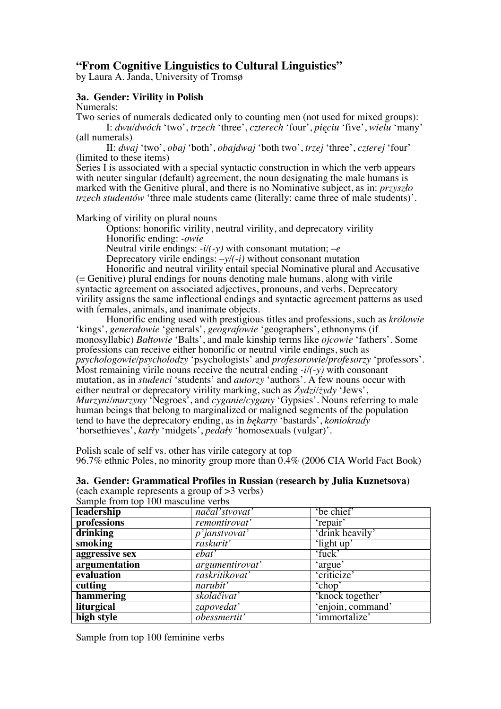# **"From Cognitive Linguistics to Cultural Linguistics"**

by Laura A. Janda, University of Tromsø

## **3a. Gender: Virility in Polish**

Numerals:

Two series of numerals dedicated only to counting men (not used for mixed groups): I: *dwu/dwóch* 'two', *trzech* 'three', *czterech* 'four', *pięciu* 'five', *wielu* 'many' (all numerals)

II: *dwaj* 'two', *obaj* 'both', *obajdwaj* 'both two', *trzej* 'three', *czterej* 'four' (limited to these items)

Series I is associated with a special syntactic construction in which the verb appears with neuter singular (default) agreement, the noun designating the male humans is marked with the Genitive plural, and there is no Nominative subject, as in: *przyszło trzech studentów* 'three male students came (literally: came three of male students)'.

Marking of virility on plural nouns

Options: honorific virility, neutral virility, and deprecatory virility Honorific ending: *-owie*

Neutral virile endings: *-i/(-y)* with consonant mutation; *–e*

Deprecatory virile endings: *–y/(-i)* without consonant mutation

Honorific and neutral virility entail special Nominative plural and Accusative (= Genitive) plural endings for nouns denoting male humans, along with virile syntactic agreement on associated adjectives, pronouns, and verbs. Deprecatory virility assigns the same inflectional endings and syntactic agreement patterns as used with females, animals, and inanimate objects.

Honorific ending used with prestigious titles and professions, such as *królowie* 'kings', *generałowie* 'generals', *geografowie* 'geographers', ethnonyms (if monosyllabic) *Bałtowie* 'Balts', and male kinship terms like *ojcowie* 'fathers'. Some professions can receive either honorific or neutral virile endings, such as *psychologowie/psycholodzy* 'psychologists' and *profesorowie/profesorzy* 'professors'. Most remaining virile nouns receive the neutral ending *-i/(-y)* with consonant mutation, as in *studenci* 'students' and *autorzy* 'authors'. A few nouns occur with either neutral or deprecatory virility marking, such as *Żydzi/żydy* 'Jews', *Murzyni/murzyny* 'Negroes', and *cyganie/cygany* 'Gypsies'. Nouns referring to male human beings that belong to marginalized or maligned segments of the population tend to have the deprecatory ending, as in *bękarty* 'bastards', *koniokrady* 'horsethieves', *karły* 'midgets', *pedały* 'homosexuals (vulgar)'.

Polish scale of self vs. other has virile category at top 96.7% ethnic Poles, no minority group more than 0.4% (2006 CIA World Fact Book)

**3a. Gender: Grammatical Profiles in Russian (research by Julia Kuznetsova)** (each example represents a group of >3 verbs)

| Sample from top 100 masculine verbs |                       |                   |  |  |
|-------------------------------------|-----------------------|-------------------|--|--|
| leadership                          | načal'stvovat'        | 'be chief'        |  |  |
| professions                         | <i>remontirovat'</i>  | 'repair'          |  |  |
| drinking                            | <i>p</i> 'janstvovat' | 'drink heavily'   |  |  |
| smoking                             | raskurit'             | 'light up'        |  |  |
| aggressive sex                      | ebat'                 | 'fuck'            |  |  |
| argumentation                       | argumentirovat'       | 'argue'           |  |  |
| evaluation                          | raskritikovat'        | 'criticize'       |  |  |
| cutting                             | narubit'              | 'chop'            |  |  |
| hammering                           | skolačivať            | 'knock together'  |  |  |
| liturgical                          | zapovedať             | 'enjoin, command' |  |  |
| high style                          | <i>obessmertit'</i>   | 'immortalize'     |  |  |

Sample from top 100 feminine verbs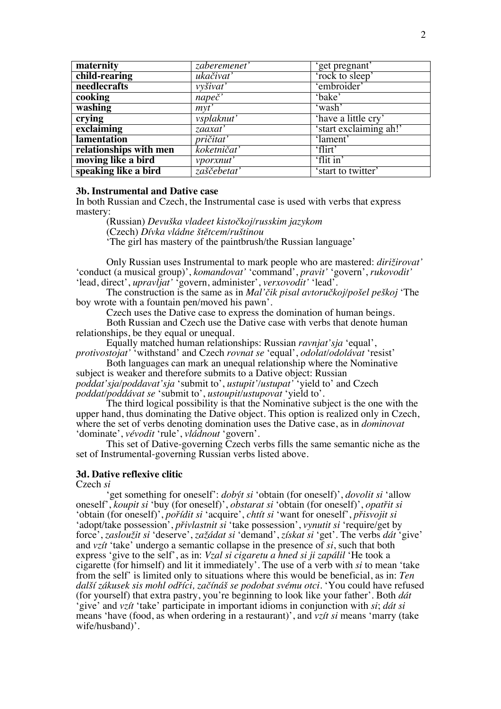| maternity              | zaberemenet'     | 'get pregnant'         |  |
|------------------------|------------------|------------------------|--|
| child-rearing          | ukačivať         | 'rock to sleep'        |  |
| needlecrafts           | vyšivat'         | 'embroider'            |  |
| cooking                | $nape\check{c}$  | 'bake'                 |  |
| washing                | myt'             | 'wash'                 |  |
| crying                 | vsplaknut'       | 'have a little cry'    |  |
| exclaiming             | zaaxat'          | 'start exclaiming ah!' |  |
| lamentation            | <i>pričitat'</i> | 'lament'               |  |
| relationships with men | koketničať       | 'flirt'                |  |
| moving like a bird     | vporxnut'        | 'flit in'              |  |
| speaking like a bird   | zaščebetať       | 'start to twitter'     |  |

#### **3b. Instrumental and Dative case**

In both Russian and Czech, the Instrumental case is used with verbs that express mastery:

(Russian) *Devuška vladeet kistočkoj/russkim jazykom* (Czech) *Dívka vládne štětcem/ruštinou* 'The girl has mastery of the paintbrush/the Russian language'

Only Russian uses Instrumental to mark people who are mastered: *dirižirovat'* 'conduct (a musical group)', *komandovat'* 'command', *pravit'* 'govern', *rukovodit'* 'lead, direct', *upravljat'* 'govern, administer', *verxovodit'* 'lead'.

The construction is the same as in *Mal'čik pisal avtoručkoj/pošel peškoj* 'The boy wrote with a fountain pen/moved his pawn'.

Czech uses the Dative case to express the domination of human beings.

Both Russian and Czech use the Dative case with verbs that denote human relationships, be they equal or unequal.

Equally matched human relationships: Russian *ravnjat'sja* 'equal', *protivostojat'* 'withstand' and Czech *rovnat se* 'equal', *odolat/odolávat* 'resist'

Both languages can mark an unequal relationship where the Nominative subject is weaker and therefore submits to a Dative object: Russian *poddat'sja/poddavat'sja* 'submit to', *ustupit'/ustupat'* 'yield to' and Czech *poddat/poddávat se* 'submit to', *ustoupit/ustupovat* 'yield to'.

The third logical possibility is that the Nominative subject is the one with the upper hand, thus dominating the Dative object. This option is realized only in Czech, where the set of verbs denoting domination uses the Dative case, as in *dominovat* 'dominate', *vévodit* 'rule', *vládnout* 'govern'.

This set of Dative-governing Czech verbs fills the same semantic niche as the set of Instrumental-governing Russian verbs listed above.

### **3d. Dative reflexive clitic**

Czech *si*

'get something for oneself': *dobýt si* 'obtain (for oneself)', *dovolit si* 'allow oneself', *koupit si* 'buy (for oneself)', *obstarat si* 'obtain (for oneself)', *opatřit si* 'obtain (for oneself)', *pořídit si* 'acquire', *chtít si* 'want for oneself', *přisvojit si* 'adopt/take possession', *přivlastnit si* 'take possession', *vynutit si* 'require/get by force', *zasloužit si* 'deserve', *zažádat si* 'demand', *získat si* 'get'. The verbs *dát* 'give' and *vzít* 'take' undergo a semantic collapse in the presence of *si*, such that both express 'give to the self', as in: *Vzal si cigaretu a hned si ji zapálil* 'He took a cigarette (for himself) and lit it immediately'. The use of a verb with *si* to mean 'take from the self' is limited only to situations where this would be beneficial, as in: *Ten další zákusek sis mohl odříci, začínáš se podobat svému otci.* 'You could have refused (for yourself) that extra pastry, you're beginning to look like your father'. Both *dát*  'give' and *vzít* 'take' participate in important idioms in conjunction with *si*; *dát si* means 'have (food, as when ordering in a restaurant)', and *vzít si* means 'marry (take wife/husband)'.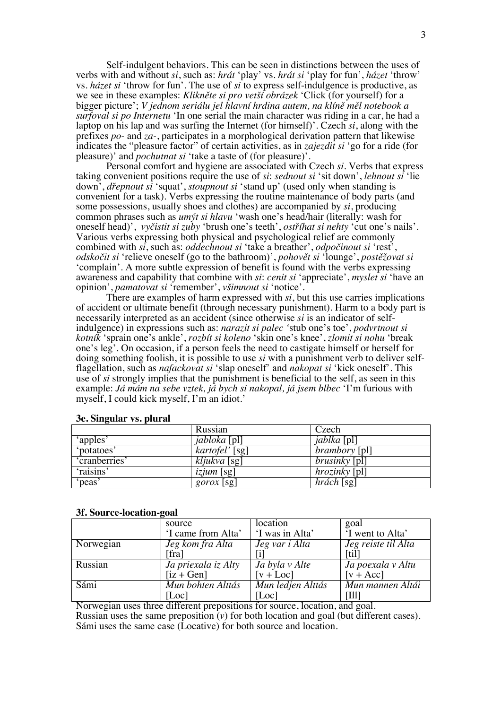Self-indulgent behaviors. This can be seen in distinctions between the uses of verbs with and without *si*, such as: *hrát* 'play' vs. *hrát si* 'play for fun', *házet* 'throw' vs. *házet si* 'throw for fun'. The use of *si* to express self-indulgence is productive, as we see in these examples: *Klikněte si pro vetší obrázek* 'Click (for yourself) for a bigger picture'; *V jednom seriálu jel hlavní hrdina autem, na klíně měl notebook a surfoval si po Internetu* 'In one serial the main character was riding in a car, he had a laptop on his lap and was surfing the Internet (for himself)'. Czech *si*, along with the prefixes *po-* and *za-*, participates in a morphological derivation pattern that likewise indicates the "pleasure factor" of certain activities, as in *zajezdit si* 'go for a ride (for pleasure)' and *pochutnat si* 'take a taste of (for pleasure)'.

Personal comfort and hygiene are associated with Czech *si.* Verbs that express taking convenient positions require the use of *si*: *sednout si* 'sit down', *lehnout si* 'lie down', *dřepnout si* 'squat', *stoupnout si* 'stand up' (used only when standing is convenient for a task). Verbs expressing the routine maintenance of body parts (and some possessions, usually shoes and clothes) are accompanied by *si*, producing common phrases such as *umýt si hlavu* 'wash one's head/hair (literally: wash for oneself head)', *vyčistit si zuby* 'brush one's teeth', *ostříhat si nehty* 'cut one's nails'. Various verbs expressing both physical and psychological relief are commonly combined with *si*, such as: *oddechnout si* 'take a breather', *odpočinout si* 'rest', *odskočit si* 'relieve oneself (go to the bathroom)', *pohovět si* 'lounge', *postěžovat si* 'complain'. A more subtle expression of benefit is found with the verbs expressing awareness and capability that combine with *si*: *cenit si* 'appreciate', *myslet si* 'have an opinion', *pamatovat si* 'remember', *všimnout si* 'notice'.

There are examples of harm expressed with *si*, but this use carries implications of accident or ultimate benefit (through necessary punishment). Harm to a body part is necessarily interpreted as an accident (since otherwise *si* is an indicator of selfindulgence) in expressions such as: *narazit si palec '*stub one's toe', *podvrtnout si kotník* 'sprain one's ankle', *rozbít si koleno* 'skin one's knee', *zlomit si nohu* 'break one's leg'. On occasion, if a person feels the need to castigate himself or herself for doing something foolish, it is possible to use *si* with a punishment verb to deliver selfflagellation, such as *nafackovat si* 'slap oneself' and *nakopat si* 'kick oneself'. This use of *si* strongly implies that the punishment is beneficial to the self, as seen in this example: *Já mám na sebe vztek, já bych si nakopal, já jsem blbec* 'I'm furious with myself, I could kick myself, I'm an idiot.'

| $\epsilon$    | Russian                     | Czech                              |
|---------------|-----------------------------|------------------------------------|
| 'apples'      | <i>jabloka</i> [pl]         | <i>jablka</i> [pl]                 |
| 'potatoes'    | $\overline{kartofel}'$ [sg] | <i>brambory</i> [pl]               |
| 'cranberries' | $\overline{k}$ ljukva [sg]  | $\overline{brusinky}$ [pl]         |
| 'raisins      | <i>izjum</i> [sg]           | $\overline{hroz}$ <i>inky</i> [pl] |
| 'peas'        | <i>gorox</i> [sg]           | $h$ rách [sg]                      |

#### **3e. Singular vs. plural**

#### **3f. Source-location-goal**

|           | source              | location          | goal                             |
|-----------|---------------------|-------------------|----------------------------------|
|           | 'I came from Alta'  | 'I was in Alta'   | <sup>I</sup> went to Alta'       |
| Norwegian | Jeg kom fra Alta    | Jeg var i Alta    | Jeg reiste til Alta              |
|           | [fra]               |                   | [til]                            |
| Russian   | Ja priexala iz Alty | Ja byla v Alte    | Ja poexala v Altu                |
|           | $[iz + Gen]$        | $[v + Loc]$       | $[v + Acc]$                      |
| Sámi      | Mun bohten Álttás   | Mun ledjen Álttás | Mun mannen Áltái                 |
|           | [Loc]               | [Loc]             | $\left\lceil \prod \right\rceil$ |

Norwegian uses three different prepositions for source, location, and goal. Russian uses the same preposition (*v*) for both location and goal (but different cases). Sámi uses the same case (Locative) for both source and location.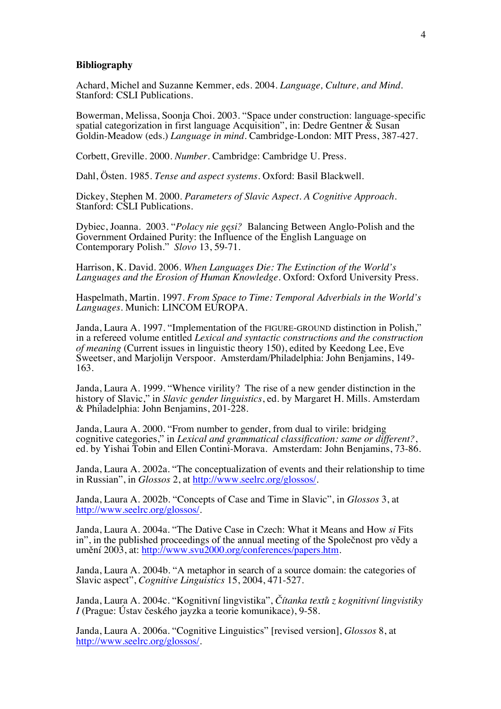#### **Bibliography**

Achard, Michel and Suzanne Kemmer, eds. 2004. *Language, Culture, and Mind.* Stanford: CSLI Publications.

Bowerman, Melissa, Soonja Choi. 2003. "Space under construction: language-specific spatial categorization in first language Acquisition", in: Dedre Gentner & Susan Goldin-Meadow (eds.) *Language in mind*. Cambridge-London: MIT Press, 387-427.

Corbett, Greville. 2000. *Number*. Cambridge: Cambridge U. Press.

Dahl, Östen. 1985. *Tense and aspect systems*. Oxford: Basil Blackwell.

Dickey, Stephen M. 2000. *Parameters of Slavic Aspect. A Cognitive Approach*. Stanford: CSLI Publications.

Dybiec, Joanna. 2003. "*Polacy nie gęsi?* Balancing Between Anglo-Polish and the Government Ordained Purity: the Influence of the English Language on Contemporary Polish." *Slovo* 13, 59-71.

Harrison, K. David. 2006*. When Languages Die: The Extinction of the World's Languages and the Erosion of Human Knowledge.* Oxford: Oxford University Press.

Haspelmath, Martin. 1997. *From Space to Time: Temporal Adverbials in the World's Languages*. Munich: LINCOM EUROPA.

Janda, Laura A. 1997. "Implementation of the FIGURE-GROUND distinction in Polish," in a refereed volume entitled *Lexical and syntactic constructions and the construction of meaning* (Current issues in linguistic theory 150), edited by Keedong Lee, Eve Sweetser, and Marjolijn Verspoor. Amsterdam/Philadelphia: John Benjamins, 149- 163.

Janda, Laura A. 1999. "Whence virility? The rise of a new gender distinction in the history of Slavic," in *Slavic gender linguistics*, ed. by Margaret H. Mills. Amsterdam & Philadelphia: John Benjamins, 201-228.

Janda, Laura A. 2000. "From number to gender, from dual to virile: bridging cognitive categories," in *Lexical and grammatical classification: same or different?*, ed. by Yishai Tobin and Ellen Contini-Morava. Amsterdam: John Benjamins, 73-86.

Janda, Laura A. 2002a. "The conceptualization of events and their relationship to time in Russian", in *Glossos* 2, at http://www.seelrc.org/glossos/.

Janda, Laura A. 2002b. "Concepts of Case and Time in Slavic", in *Glossos* 3, at http://www.seelrc.org/glossos/.

Janda, Laura A. 2004a. "The Dative Case in Czech: What it Means and How *si* Fits in", in the published proceedings of the annual meeting of the Společnost pro vědy a umění 2003, at: http://www.svu2000.org/conferences/papers.htm.

Janda, Laura A. 2004b. "A metaphor in search of a source domain: the categories of Slavic aspect", *Cognitive Linguistics* 15, 2004, 471-527.

Janda, Laura A. 2004c. "Kognitivní lingvistika", *Čítanka textů z kognitivní lingvistiky I* (Prague: Ústav českého jayzka a teorie komunikace), 9-58.

Janda, Laura A. 2006a. "Cognitive Linguistics" [revised version], *Glossos* 8, at http://www.seelrc.org/glossos/.